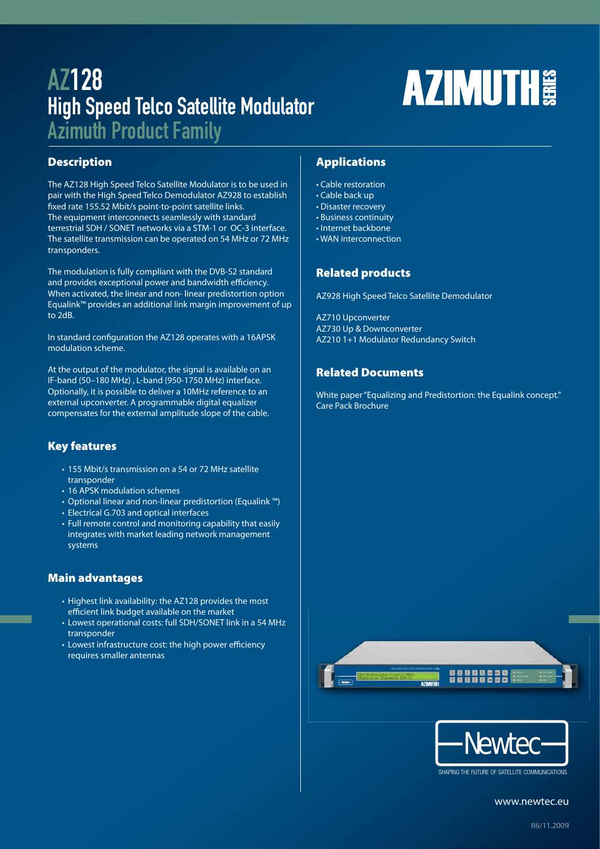# AZ128 High Speed Telco Satellite Modulator

Azimuth Product Family

# **Description**

The AZ128 High Speed Telco Satellite Modulator is to be used in pair with the High Speed Telco Demodulator AZ928 to establish fixed rate 155.52 Mbit/s point-to-point satellite links. The equipment interconnects seamlessly with standard terrestrial SDH / SONET networks via a STM-1 or OC-3 interface. The satellite transmission can be operated on 54 MHz or 72 MHz transponders.

The modulation is fully compliant with the DVB-S2 standard and provides exceptional power and bandwidth efficiency. When activated, the linear and non- linear predistortion option Equalink™ provides an additional link margin improvement of up to 2dB.

In standard configuration the AZ128 operates with a 16APSK modulation scheme.

At the output of the modulator, the signal is available on an IF-band (50–180 MHz) , L-band (950-1750 MHz) interface. Optionally, it is possible to deliver a 10MHz reference to an external upconverter. A programmable digital equalizer compensates for the external amplitude slope of the cable.

# **Key features**

- 155 Mbit/s transmission on a 54 or 72 MHz satellite transponder
- 16 APSK modulation schemes
- Optional linear and non-linear predistortion (Equalink ™)
- Electrical G.703 and optical interfaces
- Full remote control and monitoring capability that easily integrates with market leading network management systems

# **Main advantages**

- Highest link availability: the AZ128 provides the most efficient link budget available on the market
- Lowest operational costs: full SDH/SONET link in a 54 MHz transponder
- Lowest infrastructure cost: the high power efficiency requires smaller antennas

# **Applications**

- Cable restoration
- Cable back up
- Disaster recovery
- Business continuity
- Internet backbone • WAN interconnection
- 

# **Related products**

AZ928 High Speed Telco Satellite Demodulator

AZ710 Upconverter AZ730 Up & Downconverter AZ210 1+1 Modulator Redundancy Switch

# **Related Documents**

White paper "Equalizing and Predistortion: the Equalink concept." Care Pack Brochure

**AZIMUTH** 





SHAPING THE FUTURE OF SATELLITE COMMUNICATIONS

www.newtec.eu